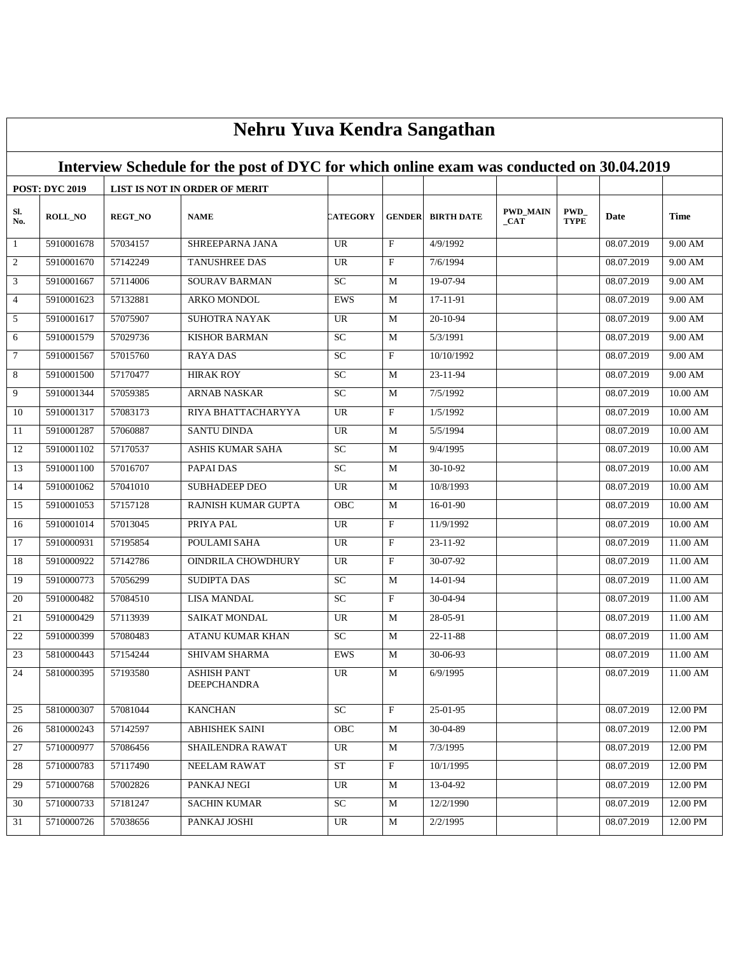|                 | Nehru Yuva Kendra Sangathan |                |                                                                                          |                 |                           |                   |                                    |                     |            |                    |  |
|-----------------|-----------------------------|----------------|------------------------------------------------------------------------------------------|-----------------|---------------------------|-------------------|------------------------------------|---------------------|------------|--------------------|--|
|                 |                             |                | Interview Schedule for the post of DYC for which online exam was conducted on 30.04.2019 |                 |                           |                   |                                    |                     |            |                    |  |
|                 | <b>POST: DYC 2019</b>       |                | LIST IS NOT IN ORDER OF MERIT                                                            |                 |                           |                   |                                    |                     |            |                    |  |
| Sl.<br>No.      | <b>ROLL_NO</b>              | <b>REGT_NO</b> | <b>NAME</b>                                                                              | <b>CATEGORY</b> | <b>GENDER</b>             | <b>BIRTH DATE</b> | <b>PWD_MAIN</b><br>$_{\rm _{CAT}}$ | PWD_<br><b>TYPE</b> | Date       | <b>Time</b>        |  |
| -1              | 5910001678                  | 57034157       | SHREEPARNA JANA                                                                          | <b>UR</b>       | $\mathbf{F}$              | 4/9/1992          |                                    |                     | 08.07.2019 | $9.00 \text{ AM}$  |  |
| $\overline{2}$  | 5910001670                  | 57142249       | <b>TANUSHREE DAS</b>                                                                     | UR              | $\mathbf{F}$              | 7/6/1994          |                                    |                     | 08.07.2019 | 9.00 AM            |  |
| $\mathfrak{Z}$  | 5910001667                  | 57114006       | <b>SOURAV BARMAN</b>                                                                     | <b>SC</b>       | M                         | 19-07-94          |                                    |                     | 08.07.2019 | $9.00 \text{ AM}$  |  |
| $\overline{4}$  | 5910001623                  | 57132881       | ARKO MONDOL                                                                              | <b>EWS</b>      | M                         | 17-11-91          |                                    |                     | 08.07.2019 | 9.00 AM            |  |
| $5\overline{)}$ | 5910001617                  | 57075907       | <b>SUHOTRA NAYAK</b>                                                                     | <b>UR</b>       | M                         | 20-10-94          |                                    |                     | 08.07.2019 | 9.00 AM            |  |
| 6               | 5910001579                  | 57029736       | <b>KISHOR BARMAN</b>                                                                     | SC              | M                         | 5/3/1991          |                                    |                     | 08.07.2019 | 9.00 AM            |  |
| $\overline{7}$  | 5910001567                  | 57015760       | <b>RAYADAS</b>                                                                           | <b>SC</b>       | $\mathbf{F}$              | 10/10/1992        |                                    |                     | 08.07.2019 | 9.00 AM            |  |
| $\overline{8}$  | 5910001500                  | 57170477       | <b>HIRAK ROY</b>                                                                         | SC              | M                         | 23-11-94          |                                    |                     | 08.07.2019 | $9.00 \text{ AM}$  |  |
| 9               | 5910001344                  | 57059385       | <b>ARNAB NASKAR</b>                                                                      | <b>SC</b>       | M                         | 7/5/1992          |                                    |                     | 08.07.2019 | 10.00 AM           |  |
| 10              | 5910001317                  | 57083173       | RIYA BHATTACHARYYA                                                                       | UR              | $\mathbf{F}$              | 1/5/1992          |                                    |                     | 08.07.2019 | 10.00 AM           |  |
| 11              | 5910001287                  | 57060887       | SANTU DINDA                                                                              | <b>UR</b>       | M                         | 5/5/1994          |                                    |                     | 08.07.2019 | 10.00 AM           |  |
| 12              | 5910001102                  | 57170537       | <b>ASHIS KUMAR SAHA</b>                                                                  | $\overline{SC}$ | M                         | 9/4/1995          |                                    |                     | 08.07.2019 | 10.00 AM           |  |
| 13              | 5910001100                  | 57016707       | PAPAI DAS                                                                                | <b>SC</b>       | M                         | 30-10-92          |                                    |                     | 08.07.2019 | 10.00 AM           |  |
| 14              | 5910001062                  | 57041010       | <b>SUBHADEEP DEO</b>                                                                     | UR              | M                         | 10/8/1993         |                                    |                     | 08.07.2019 | $10.00$ ${\rm AM}$ |  |
| 15              | 5910001053                  | 57157128       | RAJNISH KUMAR GUPTA                                                                      | OBC             | M                         | $16-01-90$        |                                    |                     | 08.07.2019 | 10.00 AM           |  |
| 16              | 5910001014                  | 57013045       | PRIYA PAL                                                                                | <b>UR</b>       | $\boldsymbol{\mathrm{F}}$ | 11/9/1992         |                                    |                     | 08.07.2019 | 10.00 AM           |  |
| 17              | 5910000931                  | 57195854       | POULAMI SAHA                                                                             | <b>UR</b>       | $\mathbf{F}$              | 23-11-92          |                                    |                     | 08.07.2019 | 11.00 AM           |  |
| 18              | 5910000922                  | 57142786       | OINDRILA CHOWDHURY                                                                       | UR              | $\mathbf{F}$              | 30-07-92          |                                    |                     | 08.07.2019 | 11.00 AM           |  |
| 19              | 5910000773                  | 57056299       | <b>SUDIPTA DAS</b>                                                                       | SC              | M                         | 14-01-94          |                                    |                     | 08.07.2019 | $11.00$ AM         |  |
| 20              | 5910000482                  | 57084510       | <b>LISA MANDAL</b>                                                                       | <b>SC</b>       | F                         | 30-04-94          |                                    |                     | 08.07.2019 | 11.00 AM           |  |
| 21              | 5910000429                  | 57113939       | <b>SAIKAT MONDAL</b>                                                                     | <b>UR</b>       | M                         | 28-05-91          |                                    |                     | 08.07.2019 | $11.00$ AM         |  |
| $22\,$          | 5910000399                  | 57080483       | ATANU KUMAR KHAN                                                                         | SC              | M                         | 22-11-88          |                                    |                     | 08.07.2019 | 11.00 AM           |  |
| 23              | 5810000443                  | 57154244       | SHIVAM SHARMA                                                                            | <b>EWS</b>      | M                         | 30-06-93          |                                    |                     | 08.07.2019 | 11.00 AM           |  |
| 24              | 5810000395                  | 57193580       | <b>ASHISH PANT</b><br><b>DEEPCHANDRA</b>                                                 | <b>UR</b>       | M                         | 6/9/1995          |                                    |                     | 08.07.2019 | 11.00 AM           |  |
| 25              | 5810000307                  | 57081044       | <b>KANCHAN</b>                                                                           | SC              | $\mathbf{F}$              | $25-01-95$        |                                    |                     | 08.07.2019 | 12.00 PM           |  |
| 26              | 5810000243                  | 57142597       | <b>ABHISHEK SAINI</b>                                                                    | OBC             | M                         | 30-04-89          |                                    |                     | 08.07.2019 | 12.00 PM           |  |
| 27              | 5710000977                  | 57086456       | SHAILENDRA RAWAT                                                                         | UR              | M                         | 7/3/1995          |                                    |                     | 08.07.2019 | 12.00 PM           |  |
| 28              | 5710000783                  | 57117490       | NEELAM RAWAT                                                                             | ${\rm ST}$      | F                         | 10/1/1995         |                                    |                     | 08.07.2019 | 12.00 PM           |  |
| 29              | 5710000768                  | 57002826       | PANKAJ NEGI                                                                              | UR.             | M                         | 13-04-92          |                                    |                     | 08.07.2019 | 12.00 PM           |  |
| 30              | 5710000733                  | 57181247       | <b>SACHIN KUMAR</b>                                                                      | SC              | M                         | 12/2/1990         |                                    |                     | 08.07.2019 | 12.00 PM           |  |
| 31              | 5710000726                  | 57038656       | PANKAJ JOSHI                                                                             | UR              | M                         | 2/2/1995          |                                    |                     | 08.07.2019 | 12.00 PM           |  |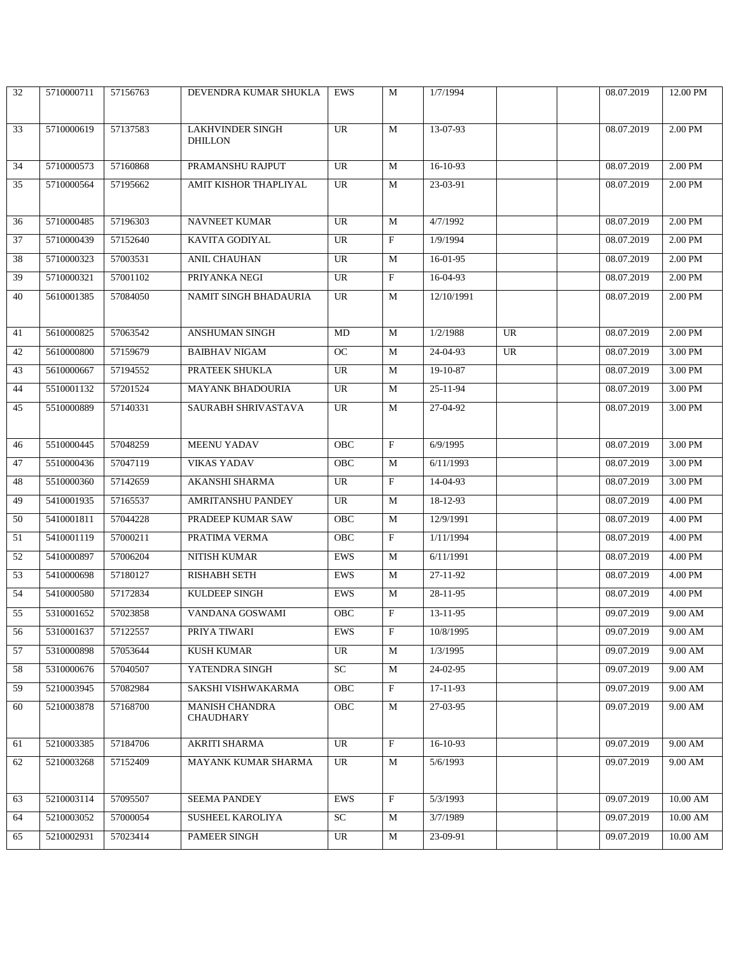| 32 | 5710000711 | 57156763 | DEVENDRA KUMAR SHUKLA   | EWS        | M                         | 1/7/1994   |    | 08.07.2019 | 12.00 PM |
|----|------------|----------|-------------------------|------------|---------------------------|------------|----|------------|----------|
|    |            |          |                         |            |                           |            |    |            |          |
| 33 | 5710000619 | 57137583 | <b>LAKHVINDER SINGH</b> | UR         | M                         | 13-07-93   |    | 08.07.2019 | 2.00 PM  |
|    |            |          | <b>DHILLON</b>          |            |                           |            |    |            |          |
| 34 | 5710000573 | 57160868 | PRAMANSHU RAJPUT        | UR         | M                         | 16-10-93   |    | 08.07.2019 | 2.00 PM  |
| 35 | 5710000564 | 57195662 | AMIT KISHOR THAPLIYAL   | UR         | M                         | 23-03-91   |    | 08.07.2019 | 2.00 PM  |
|    |            |          |                         |            |                           |            |    |            |          |
| 36 | 5710000485 | 57196303 | <b>NAVNEET KUMAR</b>    | UR         | M                         | 4/7/1992   |    | 08.07.2019 | 2.00 PM  |
| 37 | 5710000439 | 57152640 | <b>KAVITA GODIYAL</b>   | UR         | $\mathbf{F}$              | 1/9/1994   |    | 08.07.2019 | 2.00 PM  |
| 38 | 5710000323 | 57003531 | <b>ANIL CHAUHAN</b>     | UR         | M                         | 16-01-95   |    | 08.07.2019 | 2.00 PM  |
| 39 | 5710000321 | 57001102 | PRIYANKA NEGI           | UR         | $\mathbf F$               | 16-04-93   |    | 08.07.2019 | 2.00 PM  |
| 40 | 5610001385 | 57084050 | NAMIT SINGH BHADAURIA   | UR         | M                         | 12/10/1991 |    | 08.07.2019 | 2.00 PM  |
|    |            |          |                         |            |                           |            |    |            |          |
| 41 | 5610000825 | 57063542 | <b>ANSHUMAN SINGH</b>   | MD         | M                         | 1/2/1988   | UR | 08.07.2019 | 2.00 PM  |
| 42 | 5610000800 | 57159679 | <b>BAIBHAV NIGAM</b>    | <b>OC</b>  | M                         | 24-04-93   | UR | 08.07.2019 | 3.00 PM  |
| 43 | 5610000667 | 57194552 | PRATEEK SHUKLA          | UR         | M                         | 19-10-87   |    | 08.07.2019 | 3.00 PM  |
| 44 | 5510001132 | 57201524 | <b>MAYANK BHADOURIA</b> | UR         | M                         | 25-11-94   |    | 08.07.2019 | 3.00 PM  |
| 45 | 5510000889 | 57140331 | SAURABH SHRIVASTAVA     | UR         | M                         | 27-04-92   |    | 08.07.2019 | 3.00 PM  |
|    |            |          |                         |            |                           |            |    |            |          |
| 46 | 5510000445 | 57048259 | <b>MEENU YADAV</b>      | <b>OBC</b> | $\mathbf{F}$              | 6/9/1995   |    | 08.07.2019 | 3.00 PM  |
| 47 | 5510000436 | 57047119 | <b>VIKAS YADAV</b>      | OBC        | M                         | 6/11/1993  |    | 08.07.2019 | 3.00 PM  |
| 48 | 5510000360 | 57142659 | AKANSHI SHARMA          | UR         | $\boldsymbol{\mathrm{F}}$ | 14-04-93   |    | 08.07.2019 | 3.00 PM  |
| 49 | 5410001935 | 57165537 | AMRITANSHU PANDEY       | UR         | M                         | 18-12-93   |    | 08.07.2019 | 4.00 PM  |
| 50 | 5410001811 | 57044228 | PRADEEP KUMAR SAW       | OBC        | M                         | 12/9/1991  |    | 08.07.2019 | 4.00 PM  |
| 51 | 5410001119 | 57000211 | PRATIMA VERMA           | OBC        | $\mathbf{F}$              | 1/11/1994  |    | 08.07.2019 | 4.00 PM  |
| 52 | 5410000897 | 57006204 | NITISH KUMAR            | <b>EWS</b> | M                         | 6/11/1991  |    | 08.07.2019 | 4.00 PM  |
| 53 | 5410000698 | 57180127 | RISHABH SETH            | EWS        | M                         | 27-11-92   |    | 08.07.2019 | 4.00 PM  |
| 54 | 5410000580 | 57172834 | KULDEEP SINGH           | EWS        | M                         | 28-11-95   |    | 08.07.2019 | 4.00 PM  |
| 55 | 5310001652 | 57023858 | VANDANA GOSWAMI         | OBC        | $\mathbf{F}$              | 13-11-95   |    | 09.07.2019 | 9.00 AM  |
| 56 | 5310001637 | 57122557 | PRIYA TIWARI            | <b>EWS</b> | $\mathbf F$               | 10/8/1995  |    | 09.07.2019 | 9.00 AM  |
| 57 | 5310000898 | 57053644 | <b>KUSH KUMAR</b>       | <b>UR</b>  | M                         | 1/3/1995   |    | 09.07.2019 | 9.00 AM  |
| 58 | 5310000676 | 57040507 | YATENDRA SINGH          | SC         | M                         | 24-02-95   |    | 09.07.2019 | 9.00 AM  |
| 59 | 5210003945 | 57082984 | SAKSHI VISHWAKARMA      | OBC        | $\mathbf{F}$              | 17-11-93   |    | 09.07.2019 | 9.00 AM  |
| 60 | 5210003878 | 57168700 | <b>MANISH CHANDRA</b>   | OBC        | M                         | 27-03-95   |    | 09.07.2019 | 9.00 AM  |
|    |            |          | <b>CHAUDHARY</b>        |            |                           |            |    |            |          |
| 61 | 5210003385 | 57184706 | <b>AKRITI SHARMA</b>    | UR         | $\mathbf{F}$              | $16-10-93$ |    | 09.07.2019 | 9.00 AM  |
| 62 | 5210003268 | 57152409 | MAYANK KUMAR SHARMA     | UR         | M                         | 5/6/1993   |    | 09.07.2019 | 9.00 AM  |
|    |            |          |                         |            |                           |            |    |            |          |
| 63 | 5210003114 | 57095507 | SEEMA PANDEY            | EWS        | $\mathbf{F}$              | 5/3/1993   |    | 09.07.2019 | 10.00 AM |
| 64 | 5210003052 | 57000054 | SUSHEEL KAROLIYA        | SC         | M                         | 3/7/1989   |    | 09.07.2019 | 10.00 AM |
| 65 | 5210002931 | 57023414 | PAMEER SINGH            | UR         | M                         | 23-09-91   |    | 09.07.2019 | 10.00 AM |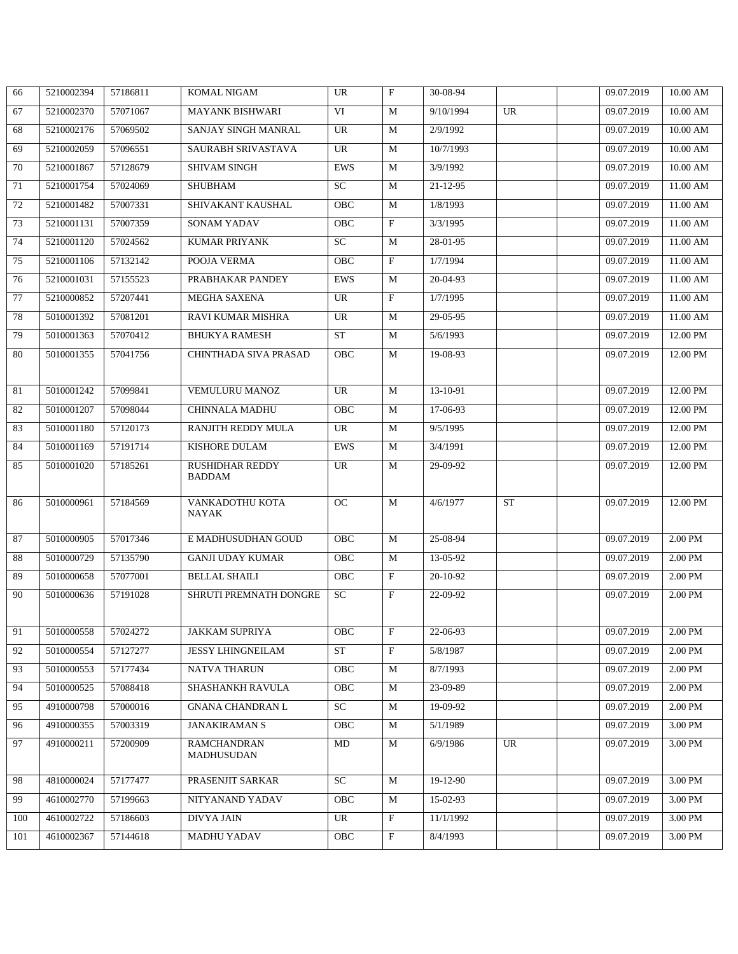| 66  | 5210002394 | 57186811 | <b>KOMAL NIGAM</b>                      | <b>UR</b>  | $\mathbf{F}$ | 30-08-94       |           | 09.07.2019 | 10.00 AM        |
|-----|------------|----------|-----------------------------------------|------------|--------------|----------------|-----------|------------|-----------------|
| 67  | 5210002370 | 57071067 | <b>MAYANK BISHWARI</b>                  | VI         | M            | 9/10/1994      | UR        | 09.07.2019 | 10.00 AM        |
| 68  | 5210002176 | 57069502 | SANJAY SINGH MANRAL                     | UR         | M            | 2/9/1992       |           | 09.07.2019 | 10.00 AM        |
| 69  | 5210002059 | 57096551 | SAURABH SRIVASTAVA                      | <b>UR</b>  | M            | 10/7/1993      |           | 09.07.2019 | 10.00 AM        |
| 70  | 5210001867 | 57128679 | SHIVAM SINGH                            | EWS        | M            | 3/9/1992       |           | 09.07.2019 | $10.00$ AM $\,$ |
| 71  | 5210001754 | 57024069 | <b>SHUBHAM</b>                          | SC         | M            | $21 - 12 - 95$ |           | 09.07.2019 | 11.00 AM        |
| 72  | 5210001482 | 57007331 | SHIVAKANT KAUSHAL                       | OBC        | M            | 1/8/1993       |           | 09.07.2019 | 11.00 AM        |
| 73  | 5210001131 | 57007359 | SONAM YADAV                             | OBC        | $\mathbf{F}$ | 3/3/1995       |           | 09.07.2019 | 11.00 AM        |
| 74  | 5210001120 | 57024562 | <b>KUMAR PRIYANK</b>                    | <b>SC</b>  | M            | 28-01-95       |           | 09.07.2019 | 11.00 AM        |
| 75  | 5210001106 | 57132142 | POOJA VERMA                             | OBC        | $\mathbf{F}$ | 1/7/1994       |           | 09.07.2019 | 11.00 AM        |
| 76  | 5210001031 | 57155523 | PRABHAKAR PANDEY                        | EWS        | M            | 20-04-93       |           | 09.07.2019 | 11.00 AM        |
| 77  | 5210000852 | 57207441 | <b>MEGHA SAXENA</b>                     | UR         | $\mathbf{F}$ | 1/7/1995       |           | 09.07.2019 | 11.00 AM        |
| 78  | 5010001392 | 57081201 | RAVI KUMAR MISHRA                       | <b>UR</b>  | M            | 29-05-95       |           | 09.07.2019 | 11.00 AM        |
| 79  | 5010001363 | 57070412 | <b>BHUKYA RAMESH</b>                    | <b>ST</b>  | M            | 5/6/1993       |           | 09.07.2019 | 12.00 PM        |
| 80  | 5010001355 | 57041756 | CHINTHADA SIVA PRASAD                   | OBC        | M            | 19-08-93       |           | 09.07.2019 | 12.00 PM        |
|     |            |          |                                         |            |              |                |           |            |                 |
| 81  | 5010001242 | 57099841 | VEMULURU MANOZ                          | <b>UR</b>  | M            | 13-10-91       |           | 09.07.2019 | 12.00 PM        |
| 82  | 5010001207 | 57098044 | <b>CHINNALA MADHU</b>                   | OBC        | M            | 17-06-93       |           | 09.07.2019 | 12.00 PM        |
| 83  | 5010001180 | 57120173 | RANJITH REDDY MULA                      | UR         | M            | 9/5/1995       |           | 09.07.2019 | 12.00 PM        |
| 84  | 5010001169 | 57191714 | <b>KISHORE DULAM</b>                    | EWS        | M            | 3/4/1991       |           | 09.07.2019 | 12.00 PM        |
| 85  | 5010001020 | 57185261 | <b>RUSHIDHAR REDDY</b><br><b>BADDAM</b> | <b>UR</b>  | M            | 29-09-92       |           | 09.07.2019 | 12.00 PM        |
| 86  | 5010000961 | 57184569 | VANKADOTHU KOTA<br>NAYAK                | <b>OC</b>  | M            | 4/6/1977       | <b>ST</b> | 09.07.2019 | 12.00 PM        |
| 87  | 5010000905 | 57017346 | E MADHUSUDHAN GOUD                      | <b>OBC</b> | M            | 25-08-94       |           | 09.07.2019 | 2.00 PM         |
| 88  | 5010000729 | 57135790 | <b>GANJI UDAY KUMAR</b>                 | <b>OBC</b> | M            | 13-05-92       |           | 09.07.2019 | 2.00 PM         |
| 89  | 5010000658 | 57077001 | <b>BELLAL SHAILI</b>                    | OBC        | $\mathbf{F}$ | 20-10-92       |           | 09.07.2019 | 2.00 PM         |
| 90  | 5010000636 | 57191028 | SHRUTI PREMNATH DONGRE                  | <b>SC</b>  | F            | 22-09-92       |           | 09.07.2019 | 2.00 PM         |
|     |            |          |                                         |            |              |                |           |            |                 |
| 91  | 5010000558 | 57024272 | JAKKAM SUPRIYA                          | OBC        | $\mathbf F$  | 22-06-93       |           | 09.07.2019 | 2.00 PM         |
| 92  | 5010000554 | 57127277 | <b>JESSY LHINGNEILAM</b>                | <b>ST</b>  | $\mathbf{F}$ | 5/8/1987       |           | 09.07.2019 | 2.00 PM         |
| 93  | 5010000553 | 57177434 | NATVA THARUN                            | OBC        | M            | 8/7/1993       |           | 09.07.2019 | 2.00 PM         |
| 94  | 5010000525 | 57088418 | SHASHANKH RAVULA                        | <b>OBC</b> | M            | 23-09-89       |           | 09.07.2019 | 2.00 PM         |
| 95  | 4910000798 | 57000016 | <b>GNANA CHANDRAN L</b>                 | SC         | M            | 19-09-92       |           | 09.07.2019 | 2.00 PM         |
| 96  | 4910000355 | 57003319 | <b>JANAKIRAMAN S</b>                    | OBC        | M            | 5/1/1989       |           | 09.07.2019 | 3.00 PM         |
| 97  | 4910000211 | 57200909 | <b>RAMCHANDRAN</b><br>MADHUSUDAN        | MD         | M            | 6/9/1986       | UR        | 09.07.2019 | 3.00 PM         |
| 98  | 4810000024 | 57177477 | PRASENJIT SARKAR                        | <b>SC</b>  | M            | 19-12-90       |           | 09.07.2019 | 3.00 PM         |
| 99  | 4610002770 | 57199663 | NITYANAND YADAV                         | OBC        | M            | 15-02-93       |           | 09.07.2019 | 3.00 PM         |
| 100 | 4610002722 | 57186603 | <b>DIVYA JAIN</b>                       | UR         | F            | 11/1/1992      |           | 09.07.2019 | 3.00 PM         |
| 101 | 4610002367 | 57144618 | <b>MADHU YADAV</b>                      | OBC        | $\mathbf{F}$ | 8/4/1993       |           | 09.07.2019 | 3.00 PM         |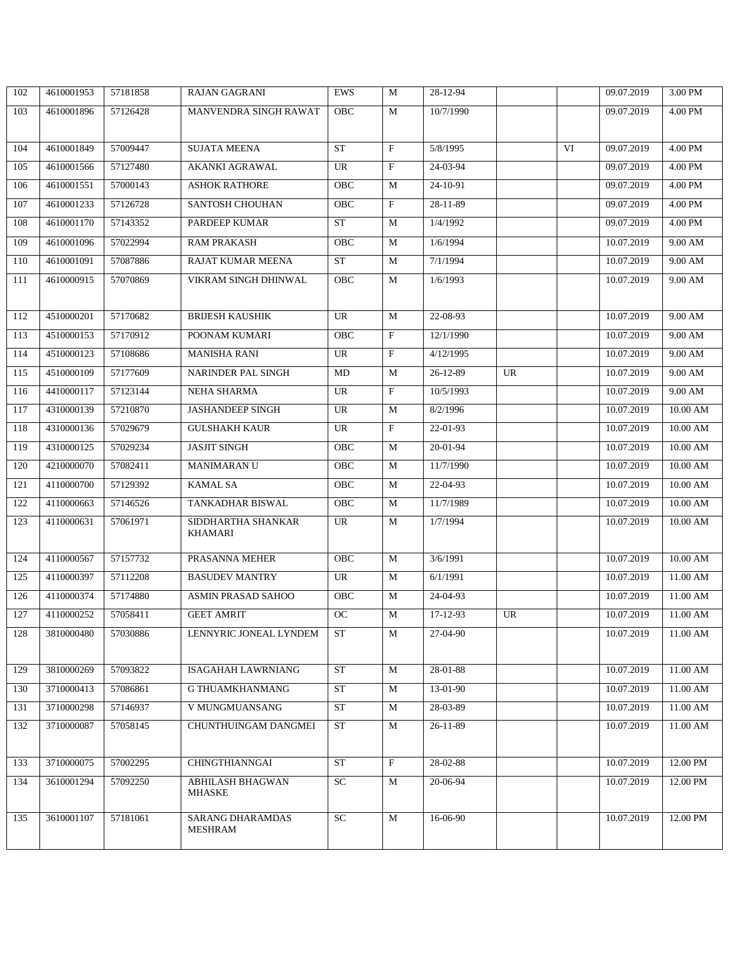| 102 | 4610001953 | 57181858 | <b>RAJAN GAGRANI</b>                      | <b>EWS</b>  | M                         | 28-12-94   |    |    | 09.07.2019 | 3.00 PM         |
|-----|------------|----------|-------------------------------------------|-------------|---------------------------|------------|----|----|------------|-----------------|
| 103 | 4610001896 | 57126428 | MANVENDRA SINGH RAWAT                     | OBC         | M                         | 10/7/1990  |    |    | 09.07.2019 | 4.00 PM         |
|     |            |          |                                           |             |                           |            |    |    |            |                 |
| 104 | 4610001849 | 57009447 | <b>SUJATA MEENA</b>                       | <b>ST</b>   | $\boldsymbol{\mathrm{F}}$ | 5/8/1995   |    | VI | 09.07.2019 | 4.00 PM         |
| 105 | 4610001566 | 57127480 | <b>AKANKI AGRAWAL</b>                     | <b>UR</b>   | $\mathbf F$               | 24-03-94   |    |    | 09.07.2019 | 4.00 PM         |
| 106 | 4610001551 | 57000143 | <b>ASHOK RATHORE</b>                      | OBC         | M                         | 24-10-91   |    |    | 09.07.2019 | 4.00 PM         |
| 107 | 4610001233 | 57126728 | <b>SANTOSH CHOUHAN</b>                    | OBC         | $\mathbf{F}$              | 28-11-89   |    |    | 09.07.2019 | 4.00 PM         |
| 108 | 4610001170 | 57143352 | PARDEEP KUMAR                             | <b>ST</b>   | M                         | 1/4/1992   |    |    | 09.07.2019 | 4.00 PM         |
| 109 | 4610001096 | 57022994 | <b>RAM PRAKASH</b>                        | OBC         | M                         | 1/6/1994   |    |    | 10.07.2019 | 9.00 AM         |
| 110 | 4610001091 | 57087886 | RAJAT KUMAR MEENA                         | ST          | M                         | 7/1/1994   |    |    | 10.07.2019 | 9.00 AM         |
| 111 | 4610000915 | 57070869 | VIKRAM SINGH DHINWAL                      | OBC         | M                         | 1/6/1993   |    |    | 10.07.2019 | 9.00 AM         |
|     |            |          |                                           |             |                           |            |    |    |            |                 |
| 112 | 4510000201 | 57170682 | <b>BRIJESH KAUSHIK</b>                    | <b>UR</b>   | M                         | 22-08-93   |    |    | 10.07.2019 | 9.00 AM         |
| 113 | 4510000153 | 57170912 | POONAM KUMARI                             | OBC         | $\mathbf{F}$              | 12/1/1990  |    |    | 10.07.2019 | 9.00 AM         |
| 114 | 4510000123 | 57108686 | <b>MANISHA RANI</b>                       | UR          | $\boldsymbol{\mathrm{F}}$ | 4/12/1995  |    |    | 10.07.2019 | 9.00 AM         |
| 115 | 4510000109 | 57177609 | <b>NARINDER PAL SINGH</b>                 | MD          | M                         | 26-12-89   | UR |    | 10.07.2019 | 9.00 AM         |
| 116 | 4410000117 | 57123144 | NEHA SHARMA                               | UR          | $\mathbf{F}$              | 10/5/1993  |    |    | 10.07.2019 | 9.00 AM         |
| 117 | 4310000139 | 57210870 | <b>JASHANDEEP SINGH</b>                   | <b>UR</b>   | M                         | 8/2/1996   |    |    | 10.07.2019 | 10.00 AM        |
| 118 | 4310000136 | 57029679 | <b>GULSHAKH KAUR</b>                      | UR          | $\mathbf{F}$              | 22-01-93   |    |    | 10.07.2019 | 10.00 AM        |
| 119 | 4310000125 | 57029234 | <b>JASJIT SINGH</b>                       | OBC         | M                         | 20-01-94   |    |    | 10.07.2019 | 10.00 AM        |
| 120 | 4210000070 | 57082411 | <b>MANIMARAN U</b>                        | OBC         | M                         | 11/7/1990  |    |    | 10.07.2019 | $10.00$ AM $\,$ |
| 121 | 4110000700 | 57129392 | <b>KAMAL SA</b>                           | ${\rm OBC}$ | M                         | 22-04-93   |    |    | 10.07.2019 | $10.00$ AM $\,$ |
| 122 | 4110000663 | 57146526 | TANKADHAR BISWAL                          | OBC         | M                         | 11/7/1989  |    |    | 10.07.2019 | 10.00 AM        |
| 123 | 4110000631 | 57061971 | SIDDHARTHA SHANKAR                        | UR          | M                         | 1/7/1994   |    |    | 10.07.2019 | $10.00$ AM $\,$ |
|     |            |          | KHAMARI                                   |             |                           |            |    |    |            |                 |
| 124 | 4110000567 | 57157732 | PRASANNA MEHER                            | OBC         | M                         | 3/6/1991   |    |    | 10.07.2019 | $10.00$ AM $\,$ |
| 125 | 4110000397 | 57112208 | <b>BASUDEV MANTRY</b>                     | UR          | M                         | 6/1/1991   |    |    | 10.07.2019 | 11.00 AM        |
| 126 | 4110000374 | 57174880 | <b>ASMIN PRASAD SAHOO</b>                 | OBC         | M                         | 24-04-93   |    |    | 10.07.2019 | 11.00 AM        |
| 127 | 4110000252 | 57058411 | <b>GEET AMRIT</b>                         | <b>OC</b>   | M                         | 17-12-93   | UR |    | 10.07.2019 | 11.00 AM        |
| 128 | 3810000480 | 57030886 | LENNYRIC JONEAL LYNDEM                    | ST          | M                         | 27-04-90   |    |    | 10.07.2019 | 11.00 AM        |
|     |            |          |                                           |             |                           |            |    |    |            |                 |
| 129 | 3810000269 | 57093822 | <b>ISAGAHAH LAWRNIANG</b>                 | ST          | M                         | 28-01-88   |    |    | 10.07.2019 | $11.00$ AM      |
| 130 | 3710000413 | 57086861 | G THUAMKHANMANG                           | ${\rm ST}$  | M                         | 13-01-90   |    |    | 10.07.2019 | 11.00 AM        |
| 131 | 3710000298 | 57146937 | V MUNGMUANSANG                            | <b>ST</b>   | M                         | 28-03-89   |    |    | 10.07.2019 | 11.00 AM        |
| 132 | 3710000087 | 57058145 | CHUNTHUINGAM DANGMEI                      | <b>ST</b>   | M                         | $26-11-89$ |    |    | 10.07.2019 | 11.00 AM        |
|     |            |          |                                           |             |                           |            |    |    |            |                 |
| 133 | 3710000075 | 57002295 | <b>CHINGTHIANNGAI</b>                     | <b>ST</b>   | $\rm F$                   | 28-02-88   |    |    | 10.07.2019 | 12.00 PM        |
| 134 | 3610001294 | 57092250 | <b>ABHILASH BHAGWAN</b><br><b>MHASKE</b>  | SC          | M                         | 20-06-94   |    |    | 10.07.2019 | 12.00 PM        |
|     |            |          |                                           |             |                           |            |    |    |            |                 |
| 135 | 3610001107 | 57181061 | <b>SARANG DHARAMDAS</b><br><b>MESHRAM</b> | SC          | M                         | 16-06-90   |    |    | 10.07.2019 | 12.00 PM        |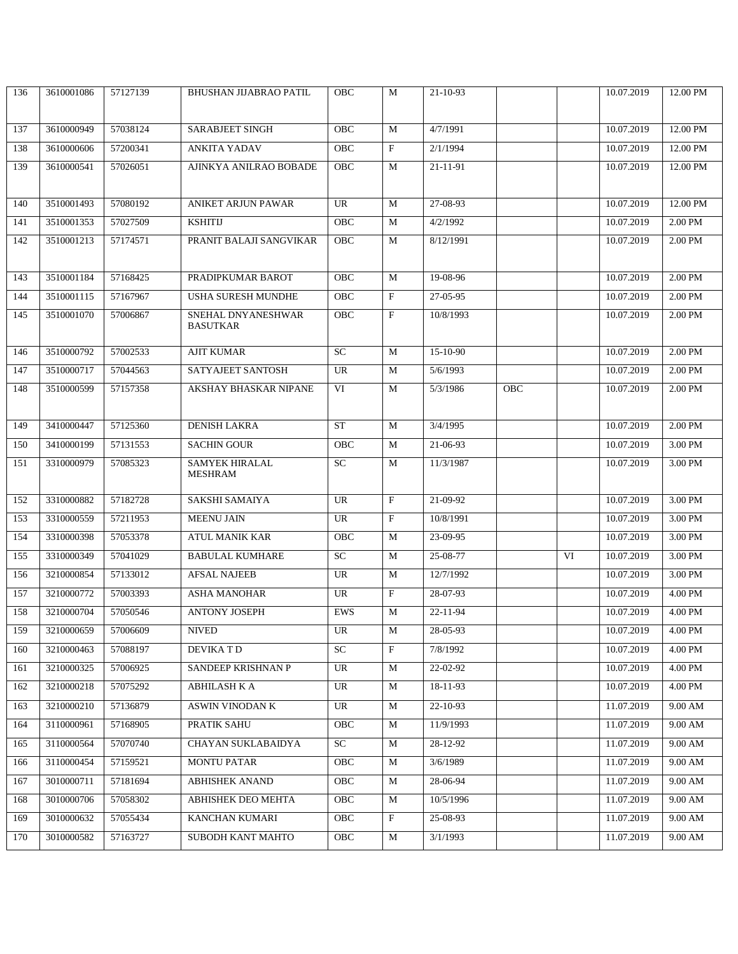| 136 | 3610001086 | 57127139 | <b>BHUSHAN JIJABRAO PATIL</b> | OBC             | M            | 21-10-93  |            |    | 10.07.2019 | 12.00 PM |
|-----|------------|----------|-------------------------------|-----------------|--------------|-----------|------------|----|------------|----------|
|     |            |          |                               |                 |              |           |            |    |            |          |
| 137 | 3610000949 | 57038124 | <b>SARABJEET SINGH</b>        | OBC             | M            | 4/7/1991  |            |    | 10.07.2019 | 12.00 PM |
| 138 | 3610000606 | 57200341 | <b>ANKITA YADAV</b>           | OBC             | $\mathbf F$  | 2/1/1994  |            |    | 10.07.2019 | 12.00 PM |
| 139 | 3610000541 | 57026051 | AJINKYA ANILRAO BOBADE        | OBC             | M            | 21-11-91  |            |    | 10.07.2019 | 12.00 PM |
|     |            |          |                               |                 |              |           |            |    |            |          |
| 140 | 3510001493 | 57080192 | <b>ANIKET ARJUN PAWAR</b>     | <b>UR</b>       | M            | 27-08-93  |            |    | 10.07.2019 | 12.00 PM |
| 141 | 3510001353 | 57027509 | <b>KSHITIJ</b>                | OBC             | M            | 4/2/1992  |            |    | 10.07.2019 | 2.00 PM  |
| 142 | 3510001213 | 57174571 | PRANIT BALAJI SANGVIKAR       | OBC             | M            | 8/12/1991 |            |    | 10.07.2019 | 2.00 PM  |
|     |            |          |                               |                 |              |           |            |    |            |          |
| 143 | 3510001184 | 57168425 | PRADIPKUMAR BAROT             | <b>OBC</b>      | M            | 19-08-96  |            |    | 10.07.2019 | 2.00 PM  |
| 144 | 3510001115 | 57167967 | USHA SURESH MUNDHE            | OBC             | $\mathbf F$  | 27-05-95  |            |    | 10.07.2019 | 2.00 PM  |
| 145 | 3510001070 | 57006867 | SNEHAL DNYANESHWAR            | <b>OBC</b>      | $\mathbf{F}$ | 10/8/1993 |            |    | 10.07.2019 | 2.00 PM  |
|     |            |          | <b>BASUTKAR</b>               |                 |              |           |            |    |            |          |
| 146 | 3510000792 | 57002533 | <b>AJIT KUMAR</b>             | $\overline{SC}$ | M            | 15-10-90  |            |    | 10.07.2019 | 2.00 PM  |
| 147 | 3510000717 | 57044563 | SATYAJEET SANTOSH             | UR              | M            | 5/6/1993  |            |    | 10.07.2019 | 2.00 PM  |
| 148 | 3510000599 | 57157358 | AKSHAY BHASKAR NIPANE         | VI              | M            | 5/3/1986  | <b>OBC</b> |    | 10.07.2019 | 2.00 PM  |
|     |            |          |                               |                 |              |           |            |    |            |          |
| 149 | 3410000447 | 57125360 | <b>DENISH LAKRA</b>           | <b>ST</b>       | M            | 3/4/1995  |            |    | 10.07.2019 | 2.00 PM  |
| 150 | 3410000199 | 57131553 | <b>SACHIN GOUR</b>            | OBC             | M            | 21-06-93  |            |    | 10.07.2019 | 3.00 PM  |
| 151 | 3310000979 | 57085323 | SAMYEK HIRALAL                | SC              | M            | 11/3/1987 |            |    | 10.07.2019 | 3.00 PM  |
|     |            |          | <b>MESHRAM</b>                |                 |              |           |            |    |            |          |
| 152 | 3310000882 | 57182728 | SAKSHI SAMAIYA                | <b>UR</b>       | $\mathbf F$  | 21-09-92  |            |    | 10.07.2019 | 3.00 PM  |
| 153 | 3310000559 | 57211953 | <b>MEENU JAIN</b>             | UR              | $\mathbf{F}$ | 10/8/1991 |            |    | 10.07.2019 | 3.00 PM  |
| 154 | 3310000398 | 57053378 | <b>ATUL MANIK KAR</b>         | OBC             | M            | 23-09-95  |            |    | 10.07.2019 | 3.00 PM  |
| 155 | 3310000349 | 57041029 | <b>BABULAL KUMHARE</b>        | <b>SC</b>       | M            | 25-08-77  |            | VI | 10.07.2019 | 3.00 PM  |
| 156 | 3210000854 | 57133012 | <b>AFSAL NAJEEB</b>           | UR              | M            | 12/7/1992 |            |    | 10.07.2019 | 3.00 PM  |
| 157 | 3210000772 | 57003393 | <b>ASHA MANOHAR</b>           | UR              | $\mathbf F$  | 28-07-93  |            |    | 10.07.2019 | 4.00 PM  |
| 158 | 3210000704 | 57050546 | <b>ANTONY JOSEPH</b>          | EWS             | M            | 22-11-94  |            |    | 10.07.2019 | 4.00 PM  |
| 159 | 3210000659 | 57006609 | <b>NIVED</b>                  | UR              | M            | 28-05-93  |            |    | 10.07.2019 | 4.00 PM  |
| 160 | 3210000463 | 57088197 | DEVIKA T D                    | SC              | $\mathbf{F}$ | 7/8/1992  |            |    | 10.07.2019 | 4.00 PM  |
| 161 | 3210000325 | 57006925 | SANDEEP KRISHNAN P            | UR              | M            | 22-02-92  |            |    | 10.07.2019 | 4.00 PM  |
| 162 | 3210000218 | 57075292 | ABHILASH K A                  | UR              | M            | 18-11-93  |            |    | 10.07.2019 | 4.00 PM  |
| 163 | 3210000210 | 57136879 | ASWIN VINODAN K               | UR              | M            | 22-10-93  |            |    | 11.07.2019 | 9.00 AM  |
| 164 | 3110000961 | 57168905 | PRATIK SAHU                   | OBC             | M            | 11/9/1993 |            |    | 11.07.2019 | 9.00 AM  |
| 165 | 3110000564 | 57070740 | CHAYAN SUKLABAIDYA            | SC              | M            | 28-12-92  |            |    | 11.07.2019 | 9.00 AM  |
| 166 | 3110000454 | 57159521 | <b>MONTU PATAR</b>            | OBC             | M            | 3/6/1989  |            |    | 11.07.2019 | 9.00 AM  |
| 167 | 3010000711 | 57181694 | <b>ABHISHEK ANAND</b>         | <b>OBC</b>      | M            | 28-06-94  |            |    | 11.07.2019 | 9.00 AM  |
| 168 | 3010000706 | 57058302 | <b>ABHISHEK DEO MEHTA</b>     | OBC             | M            | 10/5/1996 |            |    | 11.07.2019 | 9.00 AM  |
| 169 | 3010000632 | 57055434 | KANCHAN KUMARI                | OBC             | $\mathbf F$  | 25-08-93  |            |    | 11.07.2019 | 9.00 AM  |
| 170 | 3010000582 | 57163727 | SUBODH KANT MAHTO             | OBC             | M            | 3/1/1993  |            |    | 11.07.2019 | 9.00 AM  |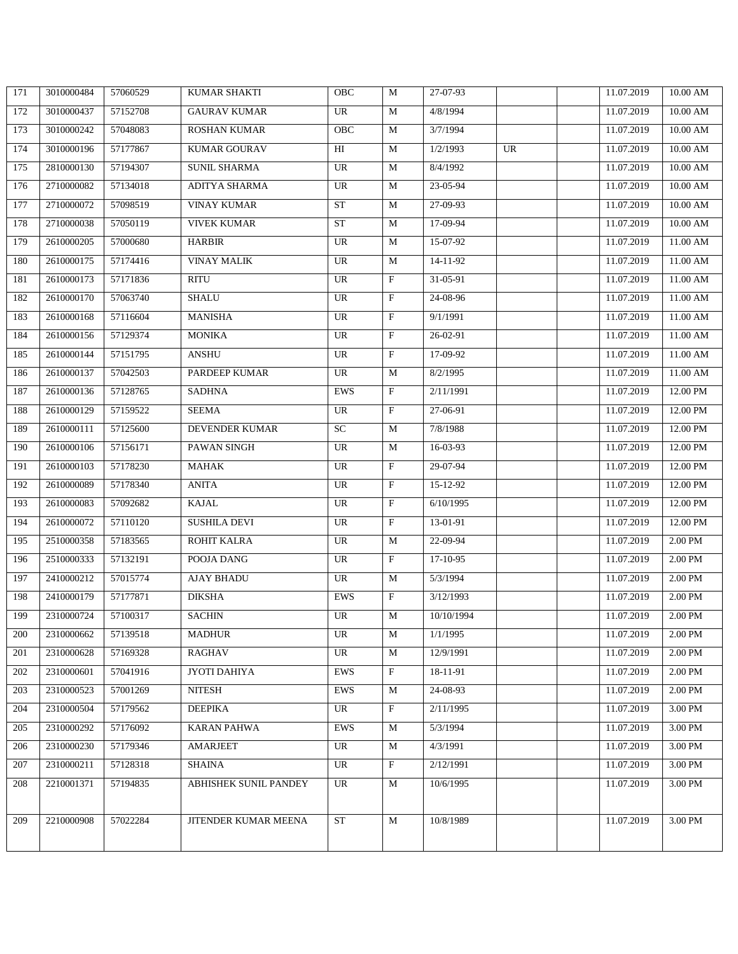| 171 | 3010000484 | 57060529 | <b>KUMAR SHAKTI</b>   | <b>OBC</b> | M            | 27-07-93   |           | 11.07.2019 | 10.00 AM        |
|-----|------------|----------|-----------------------|------------|--------------|------------|-----------|------------|-----------------|
| 172 | 3010000437 | 57152708 | <b>GAURAV KUMAR</b>   | UR         | M            | 4/8/1994   |           | 11.07.2019 | $10.00$ AM $\,$ |
| 173 | 3010000242 | 57048083 | <b>ROSHAN KUMAR</b>   | OBC        | M            | 3/7/1994   |           | 11.07.2019 | 10.00 AM        |
| 174 | 3010000196 | 57177867 | KUMAR GOURAV          | HI         | M            | 1/2/1993   | <b>UR</b> | 11.07.2019 | $10.00$ AM $\,$ |
| 175 | 2810000130 | 57194307 | SUNIL SHARMA          | UR         | M            | 8/4/1992   |           | 11.07.2019 | $10.00$ AM $\,$ |
| 176 | 2710000082 | 57134018 | ADITYA SHARMA         | <b>UR</b>  | M            | 23-05-94   |           | 11.07.2019 | 10.00 AM        |
| 177 | 2710000072 | 57098519 | <b>VINAY KUMAR</b>    | <b>ST</b>  | M            | 27-09-93   |           | 11.07.2019 | $10.00$ AM $\,$ |
| 178 | 2710000038 | 57050119 | <b>VIVEK KUMAR</b>    | <b>ST</b>  | M            | 17-09-94   |           | 11.07.2019 | $10.00$ AM      |
| 179 | 2610000205 | 57000680 | <b>HARBIR</b>         | UR         | M            | 15-07-92   |           | 11.07.2019 | 11.00 AM        |
| 180 | 2610000175 | 57174416 | <b>VINAY MALIK</b>    | UR         | M            | 14-11-92   |           | 11.07.2019 | 11.00 AM        |
| 181 | 2610000173 | 57171836 | <b>RITU</b>           | UR         | $\rm F$      | 31-05-91   |           | 11.07.2019 | 11.00 AM        |
| 182 | 2610000170 | 57063740 | SHALU                 | UR         | $\mathbf F$  | 24-08-96   |           | 11.07.2019 | 11.00 AM        |
| 183 | 2610000168 | 57116604 | <b>MANISHA</b>        | <b>UR</b>  | $\rm F$      | 9/1/1991   |           | 11.07.2019 | 11.00 AM        |
| 184 | 2610000156 | 57129374 | <b>MONIKA</b>         | UR         | $\mathbf F$  | 26-02-91   |           | 11.07.2019 | 11.00 AM        |
| 185 | 2610000144 | 57151795 | ANSHU                 | UR         | $\rm F$      | 17-09-92   |           | 11.07.2019 | 11.00 AM        |
| 186 | 2610000137 | 57042503 | PARDEEP KUMAR         | <b>UR</b>  | M            | 8/2/1995   |           | 11.07.2019 | 11.00 AM        |
| 187 | 2610000136 | 57128765 | <b>SADHNA</b>         | EWS        | $\mathbf{F}$ | 2/11/1991  |           | 11.07.2019 | 12.00 PM        |
| 188 | 2610000129 | 57159522 | <b>SEEMA</b>          | <b>UR</b>  | $\rm F$      | 27-06-91   |           | 11.07.2019 | 12.00 PM        |
| 189 | 2610000111 | 57125600 | DEVENDER KUMAR        | ${\rm SC}$ | M            | 7/8/1988   |           | 11.07.2019 | 12.00 PM        |
| 190 | 2610000106 | 57156171 | PAWAN SINGH           | UR         | M            | 16-03-93   |           | 11.07.2019 | 12.00 PM        |
| 191 | 2610000103 | 57178230 | <b>MAHAK</b>          | UR         | $\rm F$      | 29-07-94   |           | 11.07.2019 | 12.00 PM        |
| 192 | 2610000089 | 57178340 | <b>ANITA</b>          | UR         | $\rm F$      | 15-12-92   |           | 11.07.2019 | 12.00 PM        |
| 193 | 2610000083 | 57092682 | KAJAL                 | <b>UR</b>  | $\rm F$      | 6/10/1995  |           | 11.07.2019 | 12.00 PM        |
| 194 | 2610000072 | 57110120 | <b>SUSHILA DEVI</b>   | UR         | $\mathbf{F}$ | 13-01-91   |           | 11.07.2019 | 12.00 PM        |
| 195 | 2510000358 | 57183565 | ROHIT KALRA           | <b>UR</b>  | M            | 22-09-94   |           | 11.07.2019 | 2.00 PM         |
| 196 | 2510000333 | 57132191 | POOJA DANG            | UR         | $\mathbf{F}$ | 17-10-95   |           | 11.07.2019 | $2.00$ PM       |
| 197 | 2410000212 | 57015774 | AJAY BHADU            | UR         | M            | 5/3/1994   |           | 11.07.2019 | 2.00 PM         |
| 198 | 2410000179 | 57177871 | <b>DIKSHA</b>         | EWS        | $\rm F$      | 3/12/1993  |           | 11.07.2019 | 2.00 PM         |
| 199 | 2310000724 | 57100317 | <b>SACHIN</b>         | UR         | M            | 10/10/1994 |           | 11.07.2019 | 2.00 PM         |
| 200 | 2310000662 | 57139518 | <b>MADHUR</b>         | UR         | M            | 1/1/1995   |           | 11.07.2019 | 2.00 PM         |
| 201 | 2310000628 | 57169328 | <b>RAGHAV</b>         | UR         | M            | 12/9/1991  |           | 11.07.2019 | 2.00 PM         |
| 202 | 2310000601 | 57041916 | JYOTI DAHIYA          | EWS        | $\mathbf{F}$ | 18-11-91   |           | 11.07.2019 | 2.00 PM         |
| 203 | 2310000523 | 57001269 | <b>NITESH</b>         | EWS        | M            | 24-08-93   |           | 11.07.2019 | 2.00 PM         |
| 204 | 2310000504 | 57179562 | <b>DEEPIKA</b>        | UR         | $\rm F$      | 2/11/1995  |           | 11.07.2019 | 3.00 PM         |
| 205 | 2310000292 | 57176092 | <b>KARAN PAHWA</b>    | EWS        | M            | 5/3/1994   |           | 11.07.2019 | 3.00 PM         |
| 206 | 2310000230 | 57179346 | <b>AMARJEET</b>       | UR         | M            | 4/3/1991   |           | 11.07.2019 | 3.00 PM         |
| 207 | 2310000211 | 57128318 | <b>SHAINA</b>         | UR         | $\rm F$      | 2/12/1991  |           | 11.07.2019 | 3.00 PM         |
| 208 | 2210001371 | 57194835 | ABHISHEK SUNIL PANDEY | UR         | M            | 10/6/1995  |           | 11.07.2019 | 3.00 PM         |
|     |            |          |                       |            |              |            |           |            |                 |
| 209 | 2210000908 | 57022284 | JITENDER KUMAR MEENA  | <b>ST</b>  | M            | 10/8/1989  |           | 11.07.2019 | 3.00 PM         |
|     |            |          |                       |            |              |            |           |            |                 |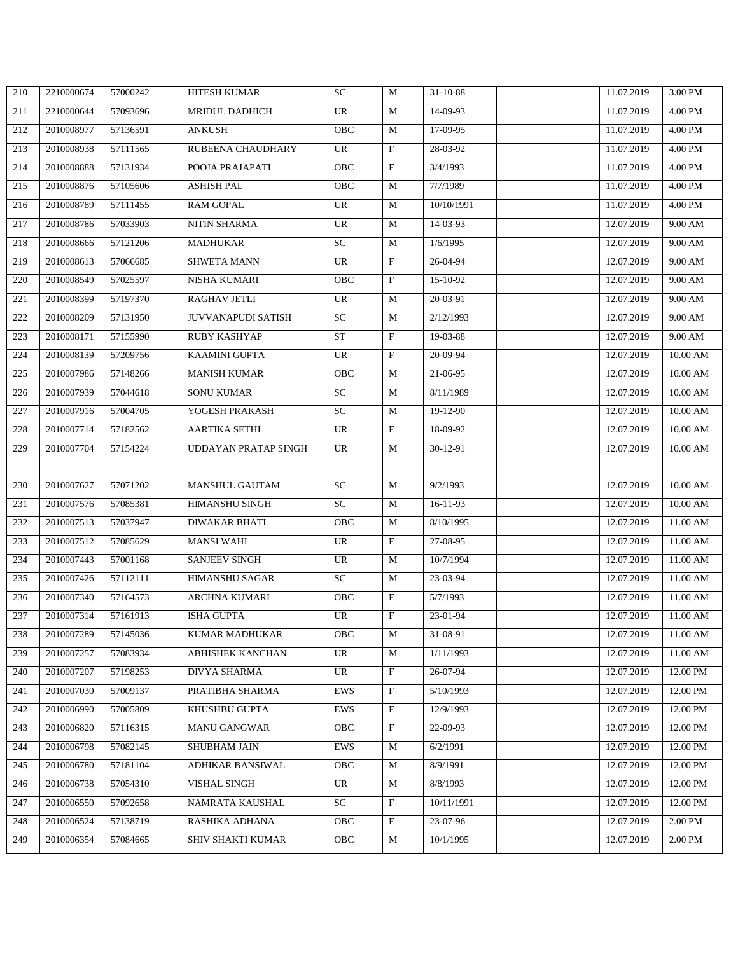| 210 | 2210000674 | 57000242 | <b>HITESH KUMAR</b>     | <b>SC</b>  | M                       | $31 - 10 - 88$ | 11.07.2019 | 3.00 PM         |
|-----|------------|----------|-------------------------|------------|-------------------------|----------------|------------|-----------------|
| 211 | 2210000644 | 57093696 | MRIDUL DADHICH          | <b>UR</b>  | M                       | 14-09-93       | 11.07.2019 | 4.00 PM         |
| 212 | 2010008977 | 57136591 | <b>ANKUSH</b>           | OBC        | M                       | 17-09-95       | 11.07.2019 | 4.00 PM         |
| 213 | 2010008938 | 57111565 | RUBEENA CHAUDHARY       | <b>UR</b>  | $\rm F$                 | 28-03-92       | 11.07.2019 | 4.00 PM         |
| 214 | 2010008888 | 57131934 | POOJA PRAJAPATI         | OBC        | $\mathbf F$             | 3/4/1993       | 11.07.2019 | 4.00 PM         |
| 215 | 2010008876 | 57105606 | <b>ASHISH PAL</b>       | OBC        | M                       | 7/7/1989       | 11.07.2019 | 4.00 PM         |
| 216 | 2010008789 | 57111455 | <b>RAM GOPAL</b>        | <b>UR</b>  | M                       | 10/10/1991     | 11.07.2019 | 4.00 PM         |
| 217 | 2010008786 | 57033903 | NITIN SHARMA            | UR         | M                       | 14-03-93       | 12.07.2019 | 9.00 AM         |
| 218 | 2010008666 | 57121206 | <b>MADHUKAR</b>         | <b>SC</b>  | M                       | 1/6/1995       | 12.07.2019 | 9.00 AM         |
| 219 | 2010008613 | 57066685 | <b>SHWETA MANN</b>      | UR         | $\mathbf F$             | 26-04-94       | 12.07.2019 | 9.00 AM         |
| 220 | 2010008549 | 57025597 | NISHA KUMARI            | OBC        | $\rm F$                 | 15-10-92       | 12.07.2019 | 9.00 AM         |
| 221 | 2010008399 | 57197370 | RAGHAV JETLI            | <b>UR</b>  | M                       | 20-03-91       | 12.07.2019 | 9.00 AM         |
| 222 | 2010008209 | 57131950 | JUVVANAPUDI SATISH      | SC         | M                       | 2/12/1993      | 12.07.2019 | 9.00 AM         |
| 223 | 2010008171 | 57155990 | RUBY KASHYAP            | <b>ST</b>  | F                       | 19-03-88       | 12.07.2019 | 9.00 AM         |
| 224 | 2010008139 | 57209756 | <b>KAAMINI GUPTA</b>    | UR         | $\overline{\mathrm{F}}$ | 20-09-94       | 12.07.2019 | 10.00 AM        |
| 225 | 2010007986 | 57148266 | <b>MANISH KUMAR</b>     | OBC        | M                       | 21-06-95       | 12.07.2019 | $10.00$ AM $\,$ |
| 226 | 2010007939 | 57044618 | SONU KUMAR              | ${\rm SC}$ | M                       | 8/11/1989      | 12.07.2019 | $10.00$ AM $\,$ |
| 227 | 2010007916 | 57004705 | YOGESH PRAKASH          | <b>SC</b>  | M                       | 19-12-90       | 12.07.2019 | $10.00$ AM      |
| 228 | 2010007714 | 57182562 | AARTIKA SETHI           | UR         | $\mathbf F$             | 18-09-92       | 12.07.2019 | $10.00$ AM $\,$ |
| 229 | 2010007704 | 57154224 | UDDAYAN PRATAP SINGH    | UR         | M                       | 30-12-91       | 12.07.2019 | 10.00 AM        |
|     |            |          |                         |            |                         |                |            |                 |
| 230 | 2010007627 | 57071202 | MANSHUL GAUTAM          | <b>SC</b>  | M                       | 9/2/1993       | 12.07.2019 | 10.00 AM        |
| 231 | 2010007576 | 57085381 | HIMANSHU SINGH          | SC         | M                       | 16-11-93       | 12.07.2019 | $10.00$ AM $\,$ |
| 232 | 2010007513 | 57037947 | <b>DIWAKAR BHATI</b>    | <b>OBC</b> | M                       | 8/10/1995      | 12.07.2019 | 11.00 AM        |
| 233 | 2010007512 | 57085629 | <b>MANSI WAHI</b>       | <b>UR</b>  | $\rm F$                 | 27-08-95       | 12.07.2019 | 11.00 AM        |
| 234 | 2010007443 | 57001168 | SANJEEV SINGH           | UR         | M                       | 10/7/1994      | 12.07.2019 | 11.00 AM        |
| 235 | 2010007426 | 57112111 | HIMANSHU SAGAR          | <b>SC</b>  | M                       | 23-03-94       | 12.07.2019 | 11.00 AM        |
| 236 | 2010007340 | 57164573 | <b>ARCHNA KUMARI</b>    | OBC        | F                       | 5/7/1993       | 12.07.2019 | 11.00 AM        |
| 237 | 2010007314 | 57161913 | ISHA GUPTA              | <b>UR</b>  | $\mathbf{F}$            | 23-01-94       | 12.07.2019 | 11.00 AM        |
| 238 | 2010007289 | 57145036 | KUMAR MADHUKAR          | <b>OBC</b> | M                       | 31-08-91       | 12.07.2019 | 11.00 AM        |
| 239 | 2010007257 | 57083934 | ABHISHEK KANCHAN        | UR         | M                       | 1/11/1993      | 12.07.2019 | 11.00 AM        |
| 240 | 2010007207 | 57198253 | DIVYA SHARMA            | UR         | $\mathbf{F}$            | 26-07-94       | 12.07.2019 | 12.00 PM        |
| 241 | 2010007030 | 57009137 | PRATIBHA SHARMA         | EWS        | $\mathbf{F}$            | 5/10/1993      | 12.07.2019 | 12.00 PM        |
| 242 | 2010006990 | 57005809 | KHUSHBU GUPTA           | EWS        | F                       | 12/9/1993      | 12.07.2019 | 12.00 PM        |
| 243 | 2010006820 | 57116315 | MANU GANGWAR            | OBC        | $\rm F$                 | 22-09-93       | 12.07.2019 | 12.00 PM        |
| 244 | 2010006798 | 57082145 | SHUBHAM JAIN            | EWS        | M                       | 6/2/1991       | 12.07.2019 | 12.00 PM        |
| 245 | 2010006780 | 57181104 | <b>ADHIKAR BANSIWAL</b> | OBC        | M                       | 8/9/1991       | 12.07.2019 | 12.00 PM        |
| 246 | 2010006738 | 57054310 | <b>VISHAL SINGH</b>     | UR         | M                       | 8/8/1993       | 12.07.2019 | 12.00 PM        |
| 247 | 2010006550 | 57092658 | NAMRATA KAUSHAL         | <b>SC</b>  | $\mathbf{F}$            | 10/11/1991     | 12.07.2019 | 12.00 PM        |
| 248 | 2010006524 | 57138719 | RASHIKA ADHANA          | OBC        | $\rm F$                 | 23-07-96       | 12.07.2019 | 2.00 PM         |
| 249 | 2010006354 | 57084665 | SHIV SHAKTI KUMAR       | OBC        | M                       | 10/1/1995      | 12.07.2019 | 2.00 PM         |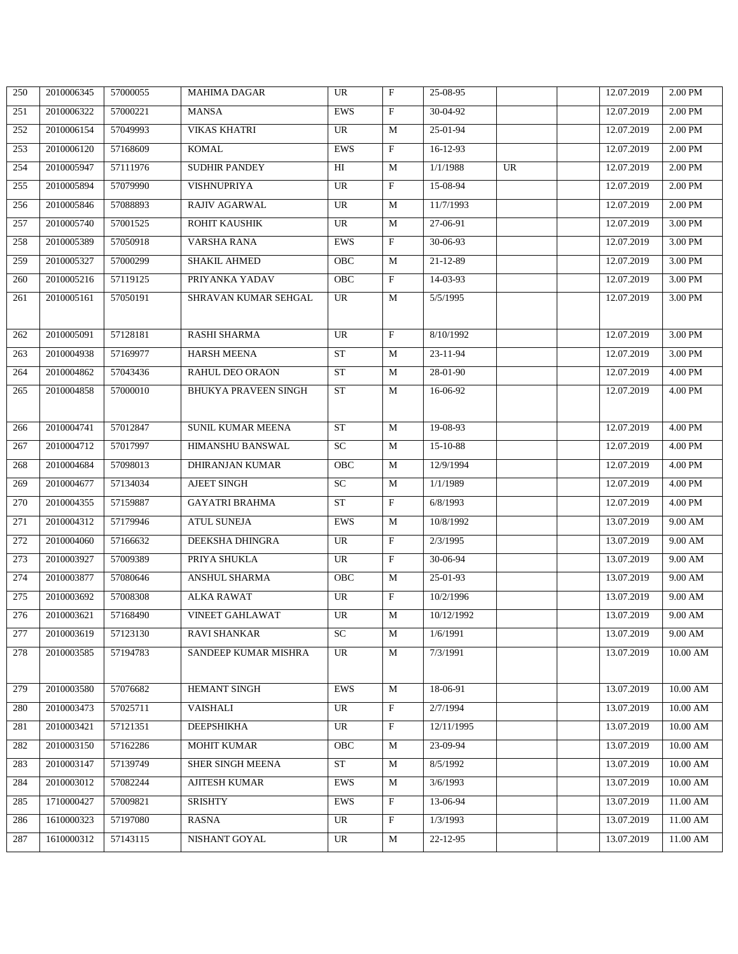| 250 | 2010006345 | 57000055 | <b>MAHIMA DAGAR</b>         | UR         | $\mathbf{F}$              | 25-08-95   |    | 12.07.2019 | 2.00 PM           |
|-----|------------|----------|-----------------------------|------------|---------------------------|------------|----|------------|-------------------|
| 251 | 2010006322 | 57000221 | <b>MANSA</b>                | <b>EWS</b> | $\mathbf{F}$              | 30-04-92   |    | 12.07.2019 | 2.00 PM           |
| 252 | 2010006154 | 57049993 | <b>VIKAS KHATRI</b>         | <b>UR</b>  | M                         | 25-01-94   |    | 12.07.2019 | 2.00 PM           |
| 253 | 2010006120 | 57168609 | <b>KOMAL</b>                | EWS        | $\rm F$                   | 16-12-93   |    | 12.07.2019 | 2.00 PM           |
| 254 | 2010005947 | 57111976 | <b>SUDHIR PANDEY</b>        | HI         | M                         | 1/1/1988   | UR | 12.07.2019 | 2.00 PM           |
| 255 | 2010005894 | 57079990 | <b>VISHNUPRIYA</b>          | <b>UR</b>  | F                         | 15-08-94   |    | 12.07.2019 | 2.00 PM           |
| 256 | 2010005846 | 57088893 | <b>RAJIV AGARWAL</b>        | UR         | M                         | 11/7/1993  |    | 12.07.2019 | 2.00 PM           |
| 257 | 2010005740 | 57001525 | ROHIT KAUSHIK               | UR         | M                         | 27-06-91   |    | 12.07.2019 | 3.00 PM           |
| 258 | 2010005389 | 57050918 | VARSHA RANA                 | <b>EWS</b> | F                         | 30-06-93   |    | 12.07.2019 | 3.00 PM           |
| 259 | 2010005327 | 57000299 | <b>SHAKIL AHMED</b>         | OBC        | M                         | 21-12-89   |    | 12.07.2019 | 3.00 PM           |
| 260 | 2010005216 | 57119125 | PRIYANKA YADAV              | OBC        | $\rm F$                   | 14-03-93   |    | 12.07.2019 | 3.00 PM           |
| 261 | 2010005161 | 57050191 | SHRAVAN KUMAR SEHGAL        | UR         | M                         | 5/5/1995   |    | 12.07.2019 | 3.00 PM           |
|     |            |          |                             |            |                           |            |    |            |                   |
| 262 | 2010005091 | 57128181 | <b>RASHI SHARMA</b>         | UR         | $\boldsymbol{\mathrm{F}}$ | 8/10/1992  |    | 12.07.2019 | 3.00 PM           |
| 263 | 2010004938 | 57169977 | <b>HARSH MEENA</b>          | ST         | M                         | 23-11-94   |    | 12.07.2019 | 3.00 PM           |
| 264 | 2010004862 | 57043436 | RAHUL DEO ORAON             | <b>ST</b>  | M                         | 28-01-90   |    | 12.07.2019 | 4.00 PM           |
| 265 | 2010004858 | 57000010 | <b>BHUKYA PRAVEEN SINGH</b> | <b>ST</b>  | M                         | 16-06-92   |    | 12.07.2019 | 4.00 PM           |
|     |            |          |                             |            |                           |            |    |            |                   |
| 266 | 2010004741 | 57012847 | SUNIL KUMAR MEENA           | <b>ST</b>  | M                         | 19-08-93   |    | 12.07.2019 | 4.00 PM           |
| 267 | 2010004712 | 57017997 | HIMANSHU BANSWAL            | SC         | M                         | 15-10-88   |    | 12.07.2019 | 4.00 PM           |
| 268 | 2010004684 | 57098013 | <b>DHIRANJAN KUMAR</b>      | OBC        | M                         | 12/9/1994  |    | 12.07.2019 | 4.00 PM           |
| 269 | 2010004677 | 57134034 | <b>AJEET SINGH</b>          | SC         | M                         | 1/1/1989   |    | 12.07.2019 | 4.00 PM           |
| 270 | 2010004355 | 57159887 | <b>GAYATRI BRAHMA</b>       | <b>ST</b>  | $\rm F$                   | 6/8/1993   |    | 12.07.2019 | 4.00 PM           |
| 271 | 2010004312 | 57179946 | <b>ATUL SUNEJA</b>          | EWS        | M                         | 10/8/1992  |    | 13.07.2019 | 9.00 AM           |
| 272 | 2010004060 | 57166632 | DEEKSHA DHINGRA             | <b>UR</b>  | $\boldsymbol{\mathrm{F}}$ | 2/3/1995   |    | 13.07.2019 | 9.00 AM           |
| 273 | 2010003927 | 57009389 | PRIYA SHUKLA                | UR         | $\rm F$                   | 30-06-94   |    | 13.07.2019 | 9.00 AM           |
| 274 | 2010003877 | 57080646 | ANSHUL SHARMA               | OBC        | M                         | 25-01-93   |    | 13.07.2019 | 9.00 AM           |
| 275 | 2010003692 | 57008308 | <b>ALKA RAWAT</b>           | UR         | $\boldsymbol{\mathrm{F}}$ | 10/2/1996  |    | 13.07.2019 | 9.00 AM           |
| 276 | 2010003621 | 57168490 | <b>VINEET GAHLAWAT</b>      | UR         | M                         | 10/12/1992 |    | 13.07.2019 | $9.00 \text{ AM}$ |
| 277 | 2010003619 | 57123130 | <b>RAVI SHANKAR</b>         | SC         | M                         | 1/6/1991   |    | 13.07.2019 | 9.00 AM           |
| 278 | 2010003585 | 57194783 | SANDEEP KUMAR MISHRA        | UR         | M                         | 7/3/1991   |    | 13.07.2019 | $10.00$ AM $\,$   |
|     |            |          |                             |            |                           |            |    |            |                   |
| 279 | 2010003580 | 57076682 | HEMANT SINGH                | EWS        | M                         | 18-06-91   |    | 13.07.2019 | 10.00 AM          |
| 280 | 2010003473 | 57025711 | VAISHALI                    | UR         | $\rm F$                   | 2/7/1994   |    | 13.07.2019 | 10.00 AM          |
| 281 | 2010003421 | 57121351 | DEEPSHIKHA                  | UR         | $\mathbf{F}$              | 12/11/1995 |    | 13.07.2019 | 10.00 AM          |
| 282 | 2010003150 | 57162286 | <b>MOHIT KUMAR</b>          | OBC        | M                         | 23-09-94   |    | 13.07.2019 | 10.00 AM          |
| 283 | 2010003147 | 57139749 | SHER SINGH MEENA            | ST         | M                         | 8/5/1992   |    | 13.07.2019 | 10.00 AM          |
| 284 | 2010003012 | 57082244 | <b>AJITESH KUMAR</b>        | EWS        | M                         | 3/6/1993   |    | 13.07.2019 | 10.00 AM          |
| 285 | 1710000427 | 57009821 | <b>SRISHTY</b>              | EWS        | $\mathbf{F}$              | 13-06-94   |    | 13.07.2019 | 11.00 AM          |
| 286 | 1610000323 | 57197080 | <b>RASNA</b>                | UR         | $\rm F$                   | 1/3/1993   |    | 13.07.2019 | 11.00 AM          |
| 287 | 1610000312 | 57143115 | NISHANT GOYAL               | UR         | M                         | 22-12-95   |    | 13.07.2019 | 11.00 AM          |